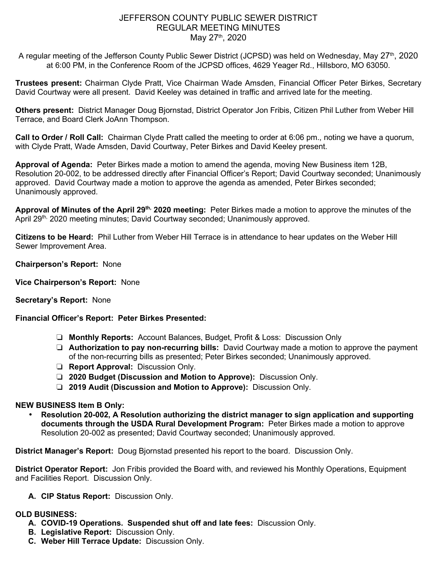# JEFFERSON COUNTY PUBLIC SEWER DISTRICT REGULAR MEETING MINUTES May 27<sup>th</sup>, 2020

A regular meeting of the Jefferson County Public Sewer District (JCPSD) was held on Wednesday, May 27<sup>th</sup>, 2020 at 6:00 PM, in the Conference Room of the JCPSD offices, 4629 Yeager Rd., Hillsboro, MO 63050.

**Trustees present:** Chairman Clyde Pratt, Vice Chairman Wade Amsden, Financial Officer Peter Birkes, Secretary David Courtway were all present. David Keeley was detained in traffic and arrived late for the meeting.

**Others present:** District Manager Doug Bjornstad, District Operator Jon Fribis, Citizen Phil Luther from Weber Hill Terrace, and Board Clerk JoAnn Thompson.

**Call to Order / Roll Call:** Chairman Clyde Pratt called the meeting to order at 6:06 pm., noting we have a quorum, with Clyde Pratt, Wade Amsden, David Courtway, Peter Birkes and David Keeley present.

**Approval of Agenda:** Peter Birkes made a motion to amend the agenda, moving New Business item 12B, Resolution 20-002, to be addressed directly after Financial Officer's Report; David Courtway seconded; Unanimously approved. David Courtway made a motion to approve the agenda as amended, Peter Birkes seconded; Unanimously approved.

**Approval of Minutes of the April 29th, 2020 meeting:** Peter Birkes made a motion to approve the minutes of the April 29<sup>th,</sup> 2020 meeting minutes; David Courtway seconded; Unanimously approved.

**Citizens to be Heard:** Phil Luther from Weber Hill Terrace is in attendance to hear updates on the Weber Hill Sewer Improvement Area.

**Chairperson's Report:** None

**Vice Chairperson's Report:** None

# **Secretary's Report:** None

# **Financial Officer's Report: Peter Birkes Presented:**

- ❏ **Monthly Reports:** Account Balances, Budget, Profit & Loss: Discussion Only
- ❏ **Authorization to pay non-recurring bills:** David Courtway made a motion to approve the payment of the non-recurring bills as presented; Peter Birkes seconded; Unanimously approved.
- ❏ **Report Approval:** Discussion Only.
- ❏ **2020 Budget (Discussion and Motion to Approve):** Discussion Only.
- ❏ **2019 Audit (Discussion and Motion to Approve):** Discussion Only.

### **NEW BUSINESS Item B Only:**

• **Resolution 20-002, A Resolution authorizing the district manager to sign application and supporting documents through the USDA Rural Development Program:** Peter Birkes made a motion to approve Resolution 20-002 as presented; David Courtway seconded; Unanimously approved.

**District Manager's Report:** Doug Bjornstad presented his report to the board. Discussion Only.

**District Operator Report:** Jon Fribis provided the Board with, and reviewed his Monthly Operations, Equipment and Facilities Report. Discussion Only.

**A. CIP Status Report:** Discussion Only.

### **OLD BUSINESS:**

- **A. COVID-19 Operations. Suspended shut off and late fees:** Discussion Only.
- **B. Legislative Report:** Discussion Only.
- **C. Weber Hill Terrace Update:** Discussion Only.